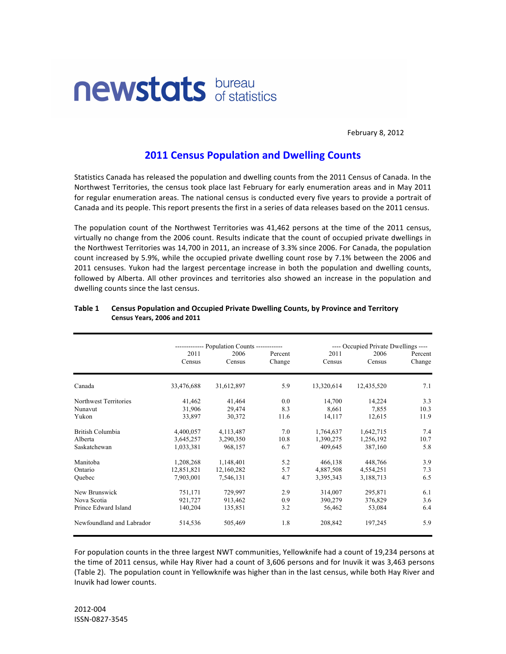

February 8, 2012

# **2011 Census Population and Dwelling Counts**

Statistics Canada has released the population and dwelling counts from the 2011 Census of Canada. In the Northwest Territories, the census took place last February for early enumeration areas and in May 2011 for regular enumeration areas. The national census is conducted every five years to provide a portrait of Canada and its people. This report presents the first in a series of data releases based on the 2011 census.

The population count of the Northwest Territories was 41,462 persons at the time of the 2011 census, virtually no change from the 2006 count. Results indicate that the count of occupied private dwellings in the Northwest Territories was 14,700 in 2011, an increase of 3.3% since 2006. For Canada, the population count increased by 5.9%, while the occupied private dwelling count rose by 7.1% between the 2006 and 2011 censuses. Yukon had the largest percentage increase in both the population and dwelling counts, followed by Alberta. All other provinces and territories also showed an increase in the population and dwelling counts since the last census.

|                           |                | ------------ Population Counts ------------ |                   |                | ---- Occupied Private Dwellings ---- |                   |  |
|---------------------------|----------------|---------------------------------------------|-------------------|----------------|--------------------------------------|-------------------|--|
|                           | 2011<br>Census | 2006<br>Census                              | Percent<br>Change | 2011<br>Census | 2006<br>Census                       | Percent<br>Change |  |
| Canada                    | 33,476,688     | 31,612,897                                  | 5.9               | 13,320,614     | 12,435,520                           | 7.1               |  |
| Northwest Territories     | 41,462         | 41,464                                      | 0.0               | 14,700         | 14,224                               | 3.3               |  |
| Nunavut                   | 31,906         | 29,474                                      | 8.3               | 8,661          | 7,855                                | 10.3              |  |
| Yukon                     | 33,897         | 30,372                                      | 11.6              | 14,117         | 12,615                               | 11.9              |  |
| British Columbia          | 4,400,057      | 4,113,487                                   | 7.0               | 1,764,637      | 1,642,715                            | 7.4               |  |
| Alberta                   | 3,645,257      | 3,290,350                                   | 10.8              | 1,390,275      | 1,256,192                            | 10.7              |  |
| Saskatchewan              | 1,033,381      | 968,157                                     | 6.7               | 409,645        | 387,160                              | 5.8               |  |
| Manitoba                  | 1,208,268      | 1,148,401                                   | 5.2               | 466,138        | 448,766                              | 3.9               |  |
| Ontario                   | 12,851,821     | 12,160,282                                  | 5.7               | 4,887,508      | 4,554,251                            | 7.3               |  |
| Ouebec                    | 7,903,001      | 7.546.131                                   | 4.7               | 3,395,343      | 3,188,713                            | 6.5               |  |
| New Brunswick             | 751,171        | 729,997                                     | 2.9               | 314,007        | 295,871                              | 6.1               |  |
| Nova Scotia               | 921,727        | 913,462                                     | 0.9               | 390,279        | 376,829                              | 3.6               |  |
| Prince Edward Island      | 140,204        | 135,851                                     | 3.2               | 56,462         | 53,084                               | 6.4               |  |
| Newfoundland and Labrador | 514,536        | 505,469                                     | 1.8               | 208,842        | 197,245                              | 5.9               |  |
|                           |                |                                             |                   |                |                                      |                   |  |

#### Table 1 Census Population and Occupied Private Dwelling Counts, by Province and Territory **Census!Years,!2006!and!2011**

For population counts in the three largest NWT communities, Yellowknife had a count of 19,234 persons at the time of 2011 census, while Hay River had a count of 3,606 persons and for Inuvik it was 3,463 persons (Table 2). The population count in Yellowknife was higher than in the last census, while both Hay River and Inuvik had lower counts.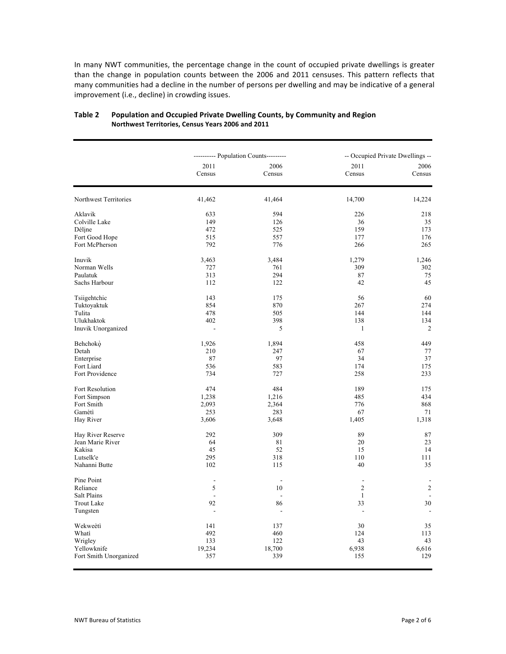In many NWT communities, the percentage change in the count of occupied private dwellings is greater than the change in population counts between the 2006 and 2011 censuses. This pattern reflects that many communities had a decline in the number of persons per dwelling and may be indicative of a general improvement (i.e., decline) in crowding issues.

|                        |                          | ---------- Population Counts--------- |                | -- Occupied Private Dwellings -- |  |  |
|------------------------|--------------------------|---------------------------------------|----------------|----------------------------------|--|--|
|                        | 2011<br>Census           | 2006<br>Census                        | 2011<br>Census | 2006<br>Census                   |  |  |
| Northwest Territories  | 41,462                   | 41,464                                | 14,700         | 14,224                           |  |  |
| Aklavik                | 633                      | 594                                   | 226            | 218                              |  |  |
| Colville Lake          | 149                      | 126                                   | 36             | 35                               |  |  |
| Déline                 | 472                      | 525                                   | 159            | 173                              |  |  |
| Fort Good Hope         | 515                      | 557                                   | 177            | 176                              |  |  |
| Fort McPherson         | 792                      | 776                                   | 266            | 265                              |  |  |
| Inuvik                 | 3,463                    | 3,484                                 | 1,279          | 1,246                            |  |  |
| Norman Wells           | 727                      | 761                                   | 309            | 302                              |  |  |
| Paulatuk               | 313                      | 294                                   | 87             | 75                               |  |  |
| Sachs Harbour          | 112                      | 122                                   | 42             | 45                               |  |  |
| Tsiigehtchic           | 143                      | 175                                   | 56             | 60                               |  |  |
| Tuktoyaktuk            | 854                      | 870                                   | 267            | 274                              |  |  |
| Tulita                 | 478                      | 505                                   | 144            | 144                              |  |  |
| Ulukhaktok             | 402                      | 398                                   | 138            | 134                              |  |  |
| Inuvik Unorganized     | $\overline{a}$           | 5                                     | 1              | $\overline{c}$                   |  |  |
| Behchokò               | 1,926                    | 1,894                                 | 458            | 449                              |  |  |
| Detah                  | 210                      | 247                                   | 67             | $77 \,$                          |  |  |
| Enterprise             | 87                       | 97                                    | 34             | 37                               |  |  |
| Fort Liard             | 536                      | 583                                   | 174            | 175                              |  |  |
| Fort Providence        | 734                      | 727                                   | 258            | 233                              |  |  |
| Fort Resolution        | 474                      | 484                                   | 189            | 175                              |  |  |
| Fort Simpson           | 1,238                    | 1,216                                 | 485            | 434                              |  |  |
| Fort Smith             | 2,093                    | 2,364                                 | 776            | 868                              |  |  |
| Gamètì                 | 253                      | 283                                   | 67             | 71                               |  |  |
| Hay River              | 3,606                    | 3,648                                 | 1,405          | 1,318                            |  |  |
| Hay River Reserve      | 292                      | 309                                   | 89             | 87                               |  |  |
| Jean Marie River       | 64                       | 81                                    | 20             | 23                               |  |  |
| Kakisa                 | 45                       | 52                                    | 15             | 14                               |  |  |
| Lutselk'e              | 295                      | 318                                   | 110            | 111                              |  |  |
| Nahanni Butte          | 102                      | 115                                   | 40             | 35                               |  |  |
| Pine Point             |                          |                                       | $\overline{a}$ |                                  |  |  |
| Reliance               | $\mathfrak s$            | 10                                    | $\overline{c}$ | $\sqrt{2}$                       |  |  |
| Salt Plains            | $\overline{\phantom{a}}$ | $\sim$                                | 1              |                                  |  |  |
| <b>Trout Lake</b>      | 92                       | 86                                    | 33             | 30                               |  |  |
| Tungsten               |                          | $\overline{a}$                        | $\overline{a}$ |                                  |  |  |
| Wekweètì               | 141                      | 137                                   | 30             | 35                               |  |  |
| Whati                  | 492                      | 460                                   | 124            | 113                              |  |  |
| Wrigley                | 133                      | 122                                   | 43             | 43                               |  |  |
| Yellowknife            | 19,234                   | 18,700                                | 6,938          | 6,616                            |  |  |
| Fort Smith Unorganized | 357                      | 339                                   | 155            | 129                              |  |  |
|                        |                          |                                       |                |                                  |  |  |

#### Table 2 Population and Occupied Private Dwelling Counts, by Community and Region Northwest Territories, Census Years 2006 and 2011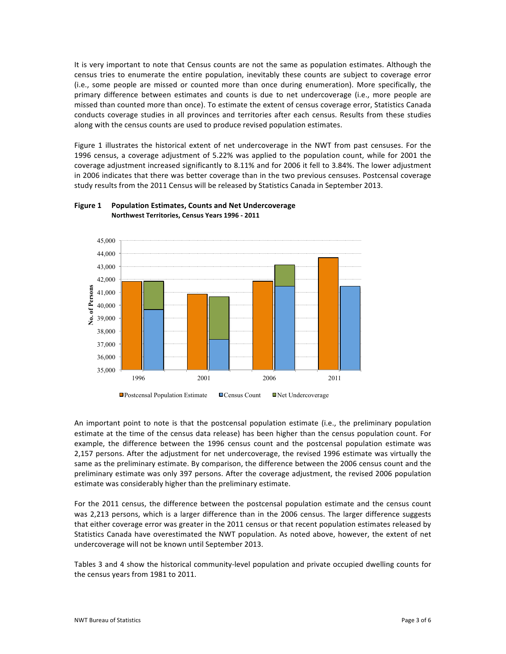It is very important to note that Census counts are not the same as population estimates. Although the census tries to enumerate the entire population, inevitably these counts are subject to coverage error (i.e., some people are missed or counted more than once during enumeration). More specifically, the primary difference between estimates and counts is due to net undercoverage (i.e., more people are missed than counted more than once). To estimate the extent of census coverage error, Statistics Canada conducts coverage studies in all provinces and territories after each census. Results from these studies along with the census counts are used to produce revised population estimates.

Figure 1 illustrates the historical extent of net undercoverage in the NWT from past censuses. For the 1996 census, a coverage adjustment of 5.22% was applied to the population count, while for 2001 the coverage adjustment increased significantly to 8.11% and for 2006 it fell to 3.84%. The lower adjustment in 2006 indicates that there was better coverage than in the two previous censuses. Postcensal coverage study results from the 2011 Census will be released by Statistics Canada in September 2013.



### **Figure 1** Population Estimates, Counts and Net Undercoverage **Northwest Territories, Census Years 1996 - 2011**

An important point to note is that the postcensal population estimate (i.e., the preliminary population estimate at the time of the census data release) has been higher than the census population count. For example, the difference between the 1996 census count and the postcensal population estimate was 2,157 persons. After the adjustment for net undercoverage, the revised 1996 estimate was virtually the same as the preliminary estimate. By comparison, the difference between the 2006 census count and the preliminary estimate was only 397 persons. After the coverage adjustment, the revised 2006 population estimate was considerably higher than the preliminary estimate.

For the 2011 census, the difference between the postcensal population estimate and the census count was 2,213 persons, which is a larger difference than in the 2006 census. The larger difference suggests that either coverage error was greater in the 2011 census or that recent population estimates released by Statistics Canada have overestimated the NWT population. As noted above, however, the extent of net undercoverage will not be known until September 2013.

Tables 3 and 4 show the historical community-level population and private occupied dwelling counts for the census years from 1981 to 2011.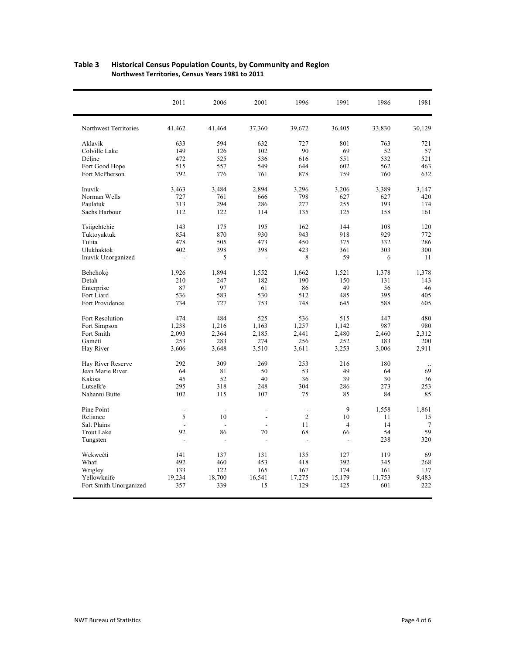|                        | 2011           | 2006   | 2001   | 1996           | 1991           | 1986   | 1981      |
|------------------------|----------------|--------|--------|----------------|----------------|--------|-----------|
| Northwest Territories  | 41,462         | 41,464 | 37,360 | 39,672         | 36,405         | 33,830 | 30,129    |
| Aklavik                | 633            | 594    | 632    | 727            | 801            | 763    | 721       |
| Colville Lake          | 149            | 126    | 102    | 90             | 69             | 52     | 57        |
| Déline                 | 472            | 525    | 536    | 616            | 551            | 532    | 521       |
| Fort Good Hope         | 515            | 557    | 549    | 644            | 602            | 562    | 463       |
| Fort McPherson         | 792            | 776    | 761    | 878            | 759            | 760    | 632       |
| Inuvik                 | 3,463          | 3,484  | 2,894  | 3,296          | 3,206          | 3,389  | 3,147     |
| Norman Wells           | 727            | 761    | 666    | 798            | 627            | 627    | 420       |
| Paulatuk               | 313            | 294    | 286    | 277            | 255            | 193    | 174       |
| Sachs Harbour          | 112            | 122    | 114    | 135            | 125            | 158    | 161       |
| Tsiigehtchic           | 143            | 175    | 195    | 162            | 144            | 108    | 120       |
| Tuktoyaktuk            | 854            | 870    | 930    | 943            | 918            | 929    | 772       |
| Tulita                 | 478            | 505    | 473    | 450            | 375            | 332    | 286       |
| Ulukhaktok             | 402            | 398    | 398    | 423            | 361            | 303    | 300       |
| Inuvik Unorganized     | $\overline{a}$ | 5      |        | 8              | 59             | 6      | 11        |
| Behchokò               | 1,926          | 1,894  | 1,552  | 1,662          | 1,521          | 1,378  | 1,378     |
| Detah                  | 210            | 247    | 182    | 190            | 150            | 131    | 143       |
| Enterprise             | 87             | 97     | 61     | 86             | 49             | 56     | 46        |
| Fort Liard             | 536            | 583    | 530    | 512            | 485            | 395    | 405       |
| Fort Providence        | 734            | 727    | 753    | 748            | 645            | 588    | 605       |
| Fort Resolution        | 474            | 484    | 525    | 536            | 515            | 447    | 480       |
| Fort Simpson           | 1,238          | 1,216  | 1,163  | 1,257          | 1,142          | 987    | 980       |
| Fort Smith             | 2,093          | 2,364  | 2,185  | 2,441          | 2,480          | 2,460  | 2,312     |
| Gamètì                 | 253            | 283    | 274    | 256            | 252            | 183    | 200       |
| Hay River              | 3,606          | 3,648  | 3,510  | 3,611          | 3,253          | 3,006  | 2,911     |
| Hay River Reserve      | 292            | 309    | 269    | 253            | 216            | 180    | $\ddotsc$ |
| Jean Marie River       | 64             | 81     | 50     | 53             | 49             | 64     | 69        |
| Kakisa                 | 45             | 52     | 40     | 36             | 39             | 30     | 36        |
| Lutselk'e              | 295            | 318    | 248    | 304            | 286            | 273    | 253       |
| Nahanni Butte          | 102            | 115    | 107    | 75             | 85             | 84     | 85        |
| Pine Point             | $\overline{a}$ | ÷.     | ÷.     | $\overline{a}$ | 9              | 1,558  | 1,861     |
| Reliance               | 5              | 10     | L,     | $\overline{2}$ | 10             | 11     | 15        |
| <b>Salt Plains</b>     | $\overline{a}$ |        |        | 11             | $\overline{4}$ | 14     | 7         |
| <b>Trout Lake</b>      | 92             | 86     | 70     | 68             | 66             | 54     | 59        |
| Tungsten               | $\overline{a}$ | L,     |        | L,             | L,             | 238    | 320       |
| Wekweètì               | 141            | 137    | 131    | 135            | 127            | 119    | 69        |
| Whati                  | 492            | 460    | 453    | 418            | 392            | 345    | 268       |
| Wrigley                | 133            | 122    | 165    | 167            | 174            | 161    | 137       |
| Yellowknife            | 19,234         | 18,700 | 16,541 | 17,275         | 15,179         | 11,753 | 9,483     |
| Fort Smith Unorganized | 357            | 339    | 15     | 129            | 425            | 601    | 222       |

#### Table 3 Historical Census Population Counts, by Community and Region Northwest Territories, Census Years 1981 to 2011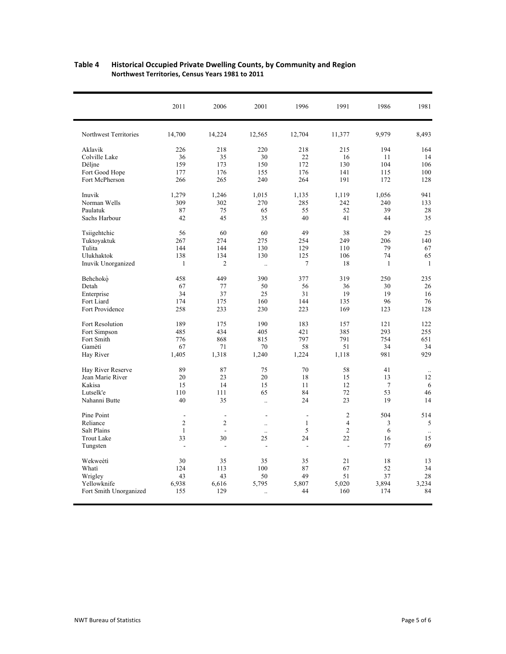|                        | 2011           | 2006           | 2001                 | 1996           | 1991                     | 1986            | 1981         |
|------------------------|----------------|----------------|----------------------|----------------|--------------------------|-----------------|--------------|
| Northwest Territories  | 14,700         | 14,224         | 12,565               | 12,704         | 11,377                   | 9,979           | 8,493        |
| Aklavik                | 226            | 218            | 220                  | 218            | 215                      | 194             | 164          |
| Colville Lake          | 36             | 35             | 30                   | 22             | 16                       | 11              | 14           |
| Déline                 | 159            | 173            | 150                  | 172            | 130                      | 104             | 106          |
| Fort Good Hope         | 177            | 176            | 155                  | 176            | 141                      | 115             | 100          |
| Fort McPherson         | 266            | 265            | 240                  | 264            | 191                      | 172             | 128          |
| Inuvik                 | 1,279          | 1,246          | 1,015                | 1,135          | 1,119                    | 1,056           | 941          |
| Norman Wells           | 309            | 302            | 270                  | 285            | 242                      | 240             | 133          |
| Paulatuk               | 87             | 75             | 65                   | 55             | 52                       | 39              | 28           |
| Sachs Harbour          | 42             | 45             | 35                   | 40             | 41                       | 44              | 35           |
| Tsiigehtchic           | 56             | 60             | 60                   | 49             | 38                       | 29              | 25           |
| Tuktoyaktuk            | 267            | 274            | 275                  | 254            | 249                      | 206             | 140          |
| Tulita                 | 144            | 144            | 130                  | 129            | 110                      | 79              | 67           |
| Ulukhaktok             | 138            | 134            | 130                  | 125            | 106                      | 74              | 65           |
| Inuvik Unorganized     | $\mathbf{1}$   | $\overline{2}$ | $\ddots$             | 7              | 18                       | $\mathbf{1}$    | $\mathbf{1}$ |
| Behchokò               | 458            | 449            | 390                  | 377            | 319                      | 250             | 235          |
| Detah                  | 67             | 77             | 50                   | 56             | 36                       | 30              | 26           |
| Enterprise             | 34             | 37             | 25                   | 31             | 19                       | 19              | 16           |
| Fort Liard             | 174            | 175            | 160                  | 144            | 135                      | 96              | 76           |
| Fort Providence        | 258            | 233            | 230                  | 223            | 169                      | 123             | 128          |
| Fort Resolution        | 189            | 175            | 190                  | 183            | 157                      | 121             | 122          |
| Fort Simpson           | 485            | 434            | 405                  | 421            | 385                      | 293             | 255          |
| Fort Smith             | 776            | 868            | 815                  | 797            | 791                      | 754             | 651          |
| Gamètì                 | 67             | 71             | 70                   | 58             | 51                       | 34              | 34           |
| Hay River              | 1,405          | 1,318          | 1,240                | 1,224          | 1,118                    | 981             | 929          |
| Hay River Reserve      | 89             | 87             | 75                   | 70             | 58                       | 41              | $\ddotsc$    |
| Jean Marie River       | 20             | 23             | 20                   | 18             | 15                       | 13              | 12           |
| Kakisa                 | 15             | 14             | 15                   | 11             | 12                       | $7\phantom{.0}$ | 6            |
| Lutselk'e              | 110            | 111            | 65                   | 84             | 72                       | 53              | 46           |
| Nahanni Butte          | 40             | 35             | $\ddotsc$            | 24             | 23                       | 19              | 14           |
| Pine Point             | $\overline{a}$ | $\overline{a}$ | L,                   | $\overline{a}$ | $\overline{c}$           | 504             | 514          |
| Reliance               | $\overline{2}$ | $\overline{2}$ | $\ddotsc$            | $\mathbf{1}$   | $\overline{4}$           | 3               | 5            |
| <b>Salt Plains</b>     | $\mathbf{1}$   |                | $\ddot{\phantom{a}}$ | 5              | 2                        | 6               |              |
| <b>Trout Lake</b>      | 33             | 30             | 25                   | 24             | 22                       | 16              | 15           |
| Tungsten               | $\overline{a}$ | L,             | $\overline{a}$       | $\overline{a}$ | $\overline{\phantom{a}}$ | 77              | 69           |
| Wekweètì               | 30             | 35             | 35                   | 35             | 21                       | 18              | 13           |
| Whati                  | 124            | 113            | 100                  | 87             | 67                       | 52              | 34           |
| Wrigley                | 43             | 43             | 50                   | 49             | 51                       | 37              | 28           |
| Yellowknife            | 6,938          | 6,616          | 5,795                | 5,807          | 5,020                    | 3,894           | 3,234        |
| Fort Smith Unorganized | 155            | 129            |                      | 44             | 160                      | 174             | 84           |

## **Table!4! Historical!Occupied!Private!Dwelling!Counts,!by!Community and!Region Northwest Territories, Census Years 1981 to 2011**